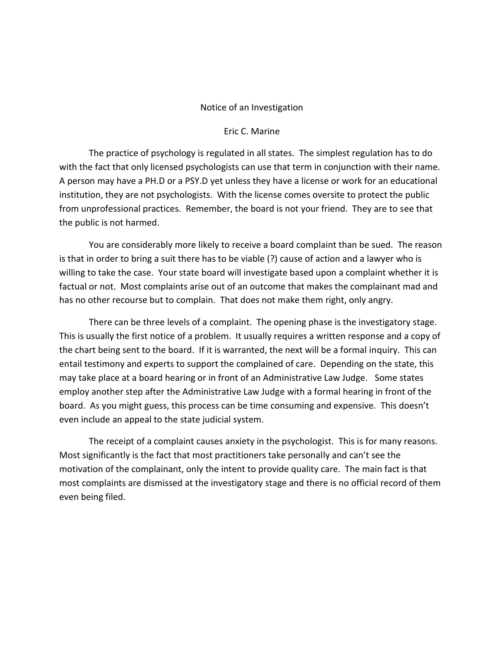## Notice of an Investigation

## Eric C. Marine

The practice of psychology is regulated in all states. The simplest regulation has to do with the fact that only licensed psychologists can use that term in conjunction with their name. A person may have a PH.D or a PSY.D yet unless they have a license or work for an educational institution, they are not psychologists. With the license comes oversite to protect the public from unprofessional practices. Remember, the board is not your friend. They are to see that the public is not harmed.

You are considerably more likely to receive a board complaint than be sued. The reason is that in order to bring a suit there has to be viable (?) cause of action and a lawyer who is willing to take the case. Your state board will investigate based upon a complaint whether it is factual or not. Most complaints arise out of an outcome that makes the complainant mad and has no other recourse but to complain. That does not make them right, only angry.

There can be three levels of a complaint. The opening phase is the investigatory stage. This is usually the first notice of a problem. It usually requires a written response and a copy of the chart being sent to the board. If it is warranted, the next will be a formal inquiry. This can entail testimony and experts to support the complained of care. Depending on the state, this may take place at a board hearing or in front of an Administrative Law Judge. Some states employ another step after the Administrative Law Judge with a formal hearing in front of the board. As you might guess, this process can be time consuming and expensive. This doesn't even include an appeal to the state judicial system.

The receipt of a complaint causes anxiety in the psychologist. This is for many reasons. Most significantly is the fact that most practitioners take personally and can't see the motivation of the complainant, only the intent to provide quality care. The main fact is that most complaints are dismissed at the investigatory stage and there is no official record of them even being filed.